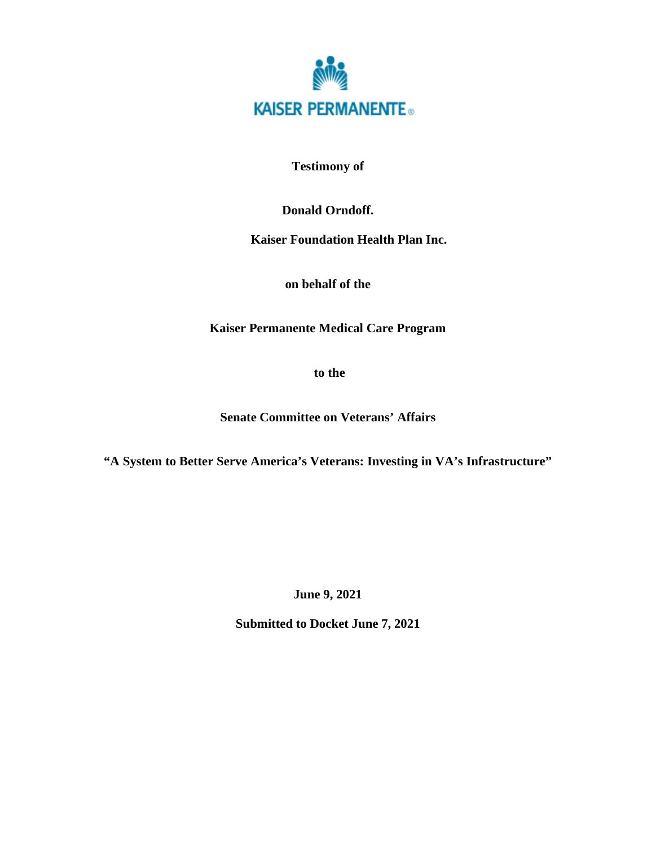

**Testimony of** 

**Donald Orndoff.** 

**Kaiser Foundation Health Plan Inc.** 

**on behalf of the** 

**Kaiser Permanente Medical Care Program** 

 **to the** 

**Senate Committee on Veterans' Affairs** 

**"A System to Better Serve America's Veterans: Investing in VA's Infrastructure"** 

**June 9, 2021** 

**Submitted to Docket June 7, 2021**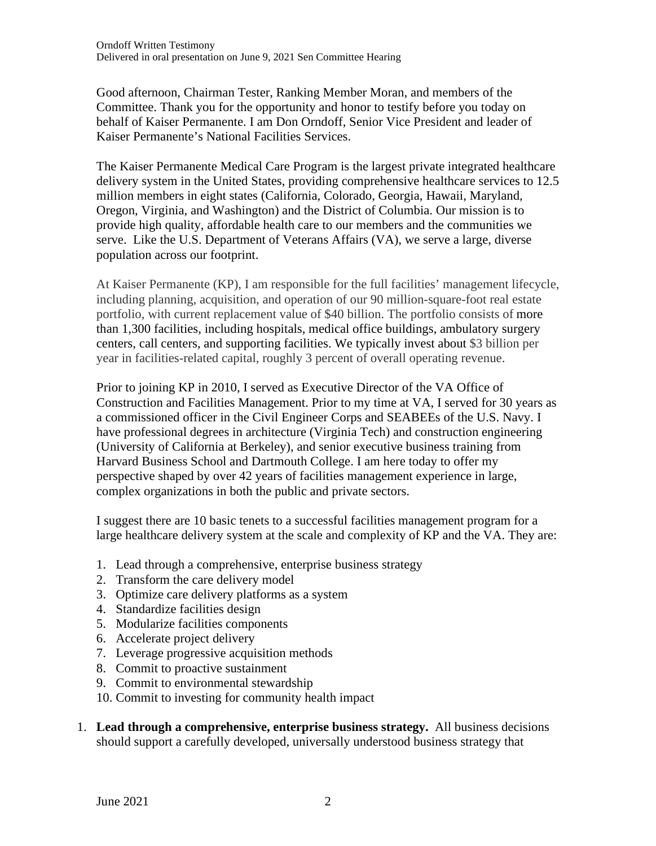Good afternoon, Chairman Tester, Ranking Member Moran, and members of the Committee. Thank you for the opportunity and honor to testify before you today on behalf of Kaiser Permanente. I am Don Orndoff, Senior Vice President and leader of Kaiser Permanente's National Facilities Services.

The Kaiser Permanente Medical Care Program is the largest private integrated healthcare delivery system in the United States, providing comprehensive healthcare services to 12.5 million members in eight states (California, Colorado, Georgia, Hawaii, Maryland, Oregon, Virginia, and Washington) and the District of Columbia. Our mission is to provide high quality, affordable health care to our members and the communities we serve. Like the U.S. Department of Veterans Affairs (VA), we serve a large, diverse population across our footprint.

At Kaiser Permanente (KP), I am responsible for the full facilities' management lifecycle, including planning, acquisition, and operation of our 90 million-square-foot real estate portfolio, with current replacement value of \$40 billion. The portfolio consists of more than 1,300 facilities, including hospitals, medical office buildings, ambulatory surgery centers, call centers, and supporting facilities. We typically invest about \$3 billion per year in facilities-related capital, roughly 3 percent of overall operating revenue.

Prior to joining KP in 2010, I served as Executive Director of the VA Office of Construction and Facilities Management. Prior to my time at VA, I served for 30 years as a commissioned officer in the Civil Engineer Corps and SEABEEs of the U.S. Navy. I have professional degrees in architecture (Virginia Tech) and construction engineering (University of California at Berkeley), and senior executive business training from Harvard Business School and Dartmouth College. I am here today to offer my perspective shaped by over 42 years of facilities management experience in large, complex organizations in both the public and private sectors.

I suggest there are 10 basic tenets to a successful facilities management program for a large healthcare delivery system at the scale and complexity of KP and the VA. They are:

- 1. Lead through a comprehensive, enterprise business strategy
- 2. Transform the care delivery model
- 3. Optimize care delivery platforms as a system
- 4. Standardize facilities design
- 5. Modularize facilities components
- 6. Accelerate project delivery
- 7. Leverage progressive acquisition methods
- 8. Commit to proactive sustainment
- 9. Commit to environmental stewardship
- 10. Commit to investing for community health impact
- 1. **Lead through a comprehensive, enterprise business strategy.** All business decisions should support a carefully developed, universally understood business strategy that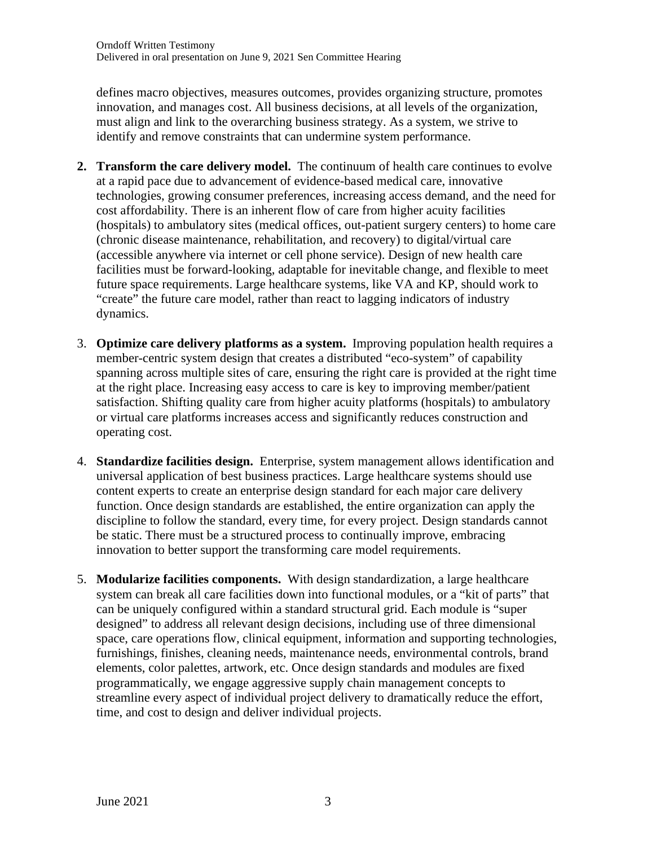defines macro objectives, measures outcomes, provides organizing structure, promotes innovation, and manages cost. All business decisions, at all levels of the organization, must align and link to the overarching business strategy. As a system, we strive to identify and remove constraints that can undermine system performance.

- **2. Transform the care delivery model.** The continuum of health care continues to evolve at a rapid pace due to advancement of evidence-based medical care, innovative technologies, growing consumer preferences, increasing access demand, and the need for cost affordability. There is an inherent flow of care from higher acuity facilities (hospitals) to ambulatory sites (medical offices, out-patient surgery centers) to home care (chronic disease maintenance, rehabilitation, and recovery) to digital/virtual care (accessible anywhere via internet or cell phone service). Design of new health care facilities must be forward-looking, adaptable for inevitable change, and flexible to meet future space requirements. Large healthcare systems, like VA and KP, should work to "create" the future care model, rather than react to lagging indicators of industry dynamics.
- 3. **Optimize care delivery platforms as a system.** Improving population health requires a member-centric system design that creates a distributed "eco-system" of capability spanning across multiple sites of care, ensuring the right care is provided at the right time at the right place. Increasing easy access to care is key to improving member/patient satisfaction. Shifting quality care from higher acuity platforms (hospitals) to ambulatory or virtual care platforms increases access and significantly reduces construction and operating cost.
- 4. **Standardize facilities design.** Enterprise, system management allows identification and universal application of best business practices. Large healthcare systems should use content experts to create an enterprise design standard for each major care delivery function. Once design standards are established, the entire organization can apply the discipline to follow the standard, every time, for every project. Design standards cannot be static. There must be a structured process to continually improve, embracing innovation to better support the transforming care model requirements.
- 5. **Modularize facilities components.** With design standardization, a large healthcare system can break all care facilities down into functional modules, or a "kit of parts" that can be uniquely configured within a standard structural grid. Each module is "super designed" to address all relevant design decisions, including use of three dimensional space, care operations flow, clinical equipment, information and supporting technologies, furnishings, finishes, cleaning needs, maintenance needs, environmental controls, brand elements, color palettes, artwork, etc. Once design standards and modules are fixed programmatically, we engage aggressive supply chain management concepts to streamline every aspect of individual project delivery to dramatically reduce the effort, time, and cost to design and deliver individual projects.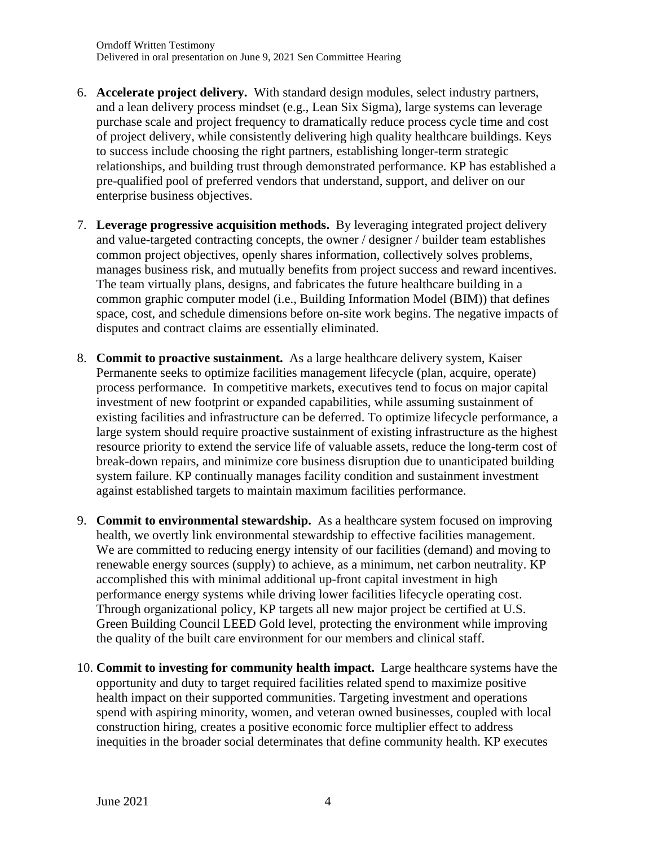- 6. **Accelerate project delivery.** With standard design modules, select industry partners, and a lean delivery process mindset (e.g., Lean Six Sigma), large systems can leverage purchase scale and project frequency to dramatically reduce process cycle time and cost of project delivery, while consistently delivering high quality healthcare buildings. Keys to success include choosing the right partners, establishing longer-term strategic relationships, and building trust through demonstrated performance. KP has established a pre-qualified pool of preferred vendors that understand, support, and deliver on our enterprise business objectives.
- 7. **Leverage progressive acquisition methods.** By leveraging integrated project delivery and value-targeted contracting concepts, the owner / designer / builder team establishes common project objectives, openly shares information, collectively solves problems, manages business risk, and mutually benefits from project success and reward incentives. The team virtually plans, designs, and fabricates the future healthcare building in a common graphic computer model (i.e., Building Information Model (BIM)) that defines space, cost, and schedule dimensions before on-site work begins. The negative impacts of disputes and contract claims are essentially eliminated.
- 8. **Commit to proactive sustainment.** As a large healthcare delivery system, Kaiser Permanente seeks to optimize facilities management lifecycle (plan, acquire, operate) process performance. In competitive markets, executives tend to focus on major capital investment of new footprint or expanded capabilities, while assuming sustainment of existing facilities and infrastructure can be deferred. To optimize lifecycle performance, a large system should require proactive sustainment of existing infrastructure as the highest resource priority to extend the service life of valuable assets, reduce the long-term cost of break-down repairs, and minimize core business disruption due to unanticipated building system failure. KP continually manages facility condition and sustainment investment against established targets to maintain maximum facilities performance.
- 9. **Commit to environmental stewardship.** As a healthcare system focused on improving health, we overtly link environmental stewardship to effective facilities management. We are committed to reducing energy intensity of our facilities (demand) and moving to renewable energy sources (supply) to achieve, as a minimum, net carbon neutrality. KP accomplished this with minimal additional up-front capital investment in high performance energy systems while driving lower facilities lifecycle operating cost. Through organizational policy, KP targets all new major project be certified at U.S. Green Building Council LEED Gold level, protecting the environment while improving the quality of the built care environment for our members and clinical staff.
- 10. **Commit to investing for community health impact.** Large healthcare systems have the opportunity and duty to target required facilities related spend to maximize positive health impact on their supported communities. Targeting investment and operations spend with aspiring minority, women, and veteran owned businesses, coupled with local construction hiring, creates a positive economic force multiplier effect to address inequities in the broader social determinates that define community health. KP executes